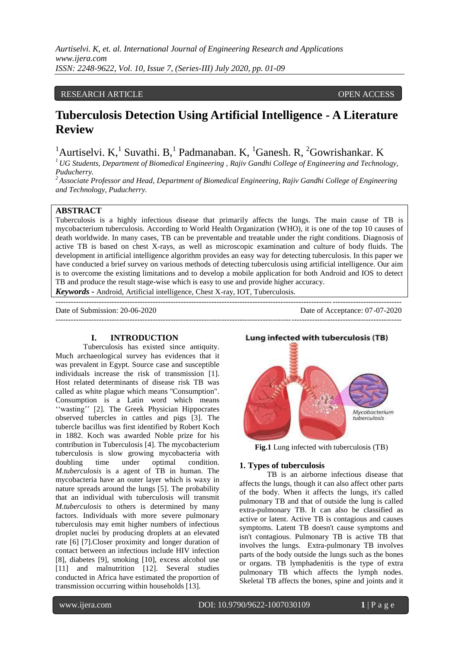# RESEARCH ARTICLE **CONTRACT ARTICLE** AND LOGISTATION OPEN ACCESS **OPEN** ACCESS

# **Tuberculosis Detection Using Artificial Intelligence - A Literature Review**

<sup>1</sup>Aurtiselvi. K, <sup>1</sup>Suvathi. B, <sup>1</sup>Padmanaban. K, <sup>1</sup>Ganesh. R, <sup>2</sup>Gowrishankar. K

*<sup>1</sup>UG Students, Department of Biomedical Engineering , Rajiv Gandhi College of Engineering and Technology, Puducherry.*

*<sup>2</sup>Associate Professor and Head, Department of Biomedical Engineering, Rajiv Gandhi College of Engineering and Technology, Puducherry.*

# **ABSTRACT**

Tuberculosis is a highly infectious disease that primarily affects the lungs. The main cause of TB is mycobacterium tuberculosis. According to World Health Organization (WHO), it is one of the top 10 causes of death worldwide. In many cases, TB can be preventable and treatable under the right conditions. Diagnosis of active TB is based on chest X-rays, as well as microscopic examination and culture of body fluids. The development in artificial intelligence algorithm provides an easy way for detecting tuberculosis. In this paper we have conducted a brief survey on various methods of detecting tuberculosis using artificial intelligence. Our aim is to overcome the existing limitations and to develop a mobile application for both Android and IOS to detect TB and produce the result stage-wise which is easy to use and provide higher accuracy.

*Keywords* **-** Android, Artificial intelligence, Chest X-ray, IOT, Tuberculosis. ---------------------------------------------------------------------------------------------------------------------------------------

---------------------------------------------------------------------------------------------------------------------------------------

Date of Submission: 20-06-2020 Date of Acceptance: 07-07-2020

### **I. INTRODUCTION**

Tuberculosis has existed since antiquity. Much archaeological survey has evidences that it was prevalent in Egypt. Source case and susceptible individuals increase the risk of transmission [1]. Host related determinants of disease risk TB was called as white plague which means ''Consumption". Consumption is a Latin word which means "wasting" [2]. The Greek Physician Hippocrates observed tubercles in cattles and pigs [3]. The tubercle bacillus was first identified by Robert Koch in 1882. Koch was awarded Noble prize for his contribution in Tuberculosis [4]. The mycobacterium tuberculosis is slow growing mycobacteria with doubling time under optimal condition. *M.tuberculosis* is a agent of TB in human. The mycobacteria have an outer layer which is waxy in nature spreads around the lungs [5]. The probability that an individual with tuberculosis will transmit *M.tuberculosis* to others is determined by many factors. Individuals with more severe pulmonary tuberculosis may emit higher numbers of infectious droplet nuclei by producing droplets at an elevated rate [6] [7].Closer proximity and longer duration of contact between an infectious include HIV infection [8], diabetes [9], smoking [10], excess alcohol use [11] and malnutrition [12]. Several studies conducted in Africa have estimated the proportion of transmission occurring within households [13].



**Fig.1** Lung infected with tuberculosis (TB)

# **1. Types of tuberculosis**

TB is an airborne infectious disease that affects the lungs, though it can also affect other parts of the body. When it affects the lungs, it's called pulmonary TB and that of outside the lung is called extra-pulmonary TB. It can also be classified as active or latent. Active TB is contagious and causes symptoms. Latent TB doesn't cause symptoms and isn't contagious. Pulmonary TB is active TB that involves the lungs. Extra-pulmonary TB involves parts of the body outside the lungs such as the bones or organs. TB lymphadenitis is the type of extra pulmonary TB which affects the lymph nodes. Skeletal TB affects the bones, spine and joints and it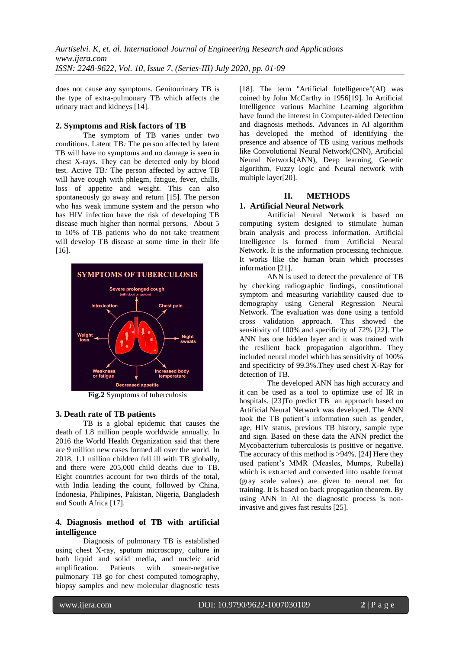does not cause any symptoms. Genitourinary TB is the type of extra-pulmonary TB which affects the urinary tract and kidneys [14].

## **2. Symptoms and Risk factors of TB**

The symptom of TB varies under two conditions. Latent TB*:* The person affected by latent TB will have no symptoms and no damage is seen in chest X-rays. They can be detected only by blood test. Active TB*:* The person affected by active TB will have cough with phlegm, fatigue, fever, chills, loss of appetite and weight. This can also spontaneously go away and return [15]. The person who has weak immune system and the person who has HIV infection have the risk of developing TB disease much higher than normal persons. About 5 to 10% of TB patients who do not take treatment will develop TB disease at some time in their life [16].



**Fig.2** Symptoms of tuberculosis

### **3. Death rate of TB patients**

TB is a global epidemic that causes the death of 1.8 million people worldwide annually. In 2016 the World Health Organization said that there are 9 million new cases formed all over the world. In 2018, 1.1 million children fell ill with TB globally, and there were 205,000 child deaths due to TB. Eight countries account for two thirds of the total, with India leading the count, followed by China, Indonesia, Philipines, Pakistan, Nigeria, Bangladesh and South Africa [17].

# **4. Diagnosis method of TB with artificial intelligence**

Diagnosis of pulmonary TB is established using chest X-ray, sputum microscopy, culture in both liquid and solid media, and nucleic acid<br>amplification. Patients with smear-negative amplification. Patients with smear-negative pulmonary TB go for chest computed tomography, biopsy samples and new molecular diagnostic tests

[18]. The term "Artificial Intelligence"(AI) was coined by John McCarthy in 1956[19]. In Artificial Intelligence various Machine Learning algorithm have found the interest in Computer-aided Detection and diagnosis methods. Advances in AI algorithm has developed the method of identifying the presence and absence of TB using various methods like Convolutional Neural Network(CNN), Artificial Neural Network(ANN), Deep learning, Genetic algorithm, Fuzzy logic and Neural network with multiple layer[20].

### **II. METHODS**

# **1. Artificial Neural Network**

Artificial Neural Network is based on computing system designed to stimulate human brain analysis and process information. Artificial Intelligence is formed from Artificial Neural Network. It is the information processing technique. It works like the human brain which processes information [21].

ANN is used to detect the prevalence of TB by checking radiographic findings, constitutional symptom and measuring variability caused due to demography using General Regression Neural Network. The evaluation was done using a tenfold cross validation approach. This showed the sensitivity of 100% and specificity of 72% [22]. The ANN has one hidden layer and it was trained with the resilient back propagation algorithm. They included neural model which has sensitivity of 100% and specificity of 99.3%.They used chest X-Ray for detection of TB.

The developed ANN has high accuracy and it can be used as a tool to optimize use of IR in hospitals. [23] To predict TB an approach based on Artificial Neural Network was developed. The ANN took the TB patient"s information such as gender, age, HIV status, previous TB history, sample type and sign. Based on these data the ANN predict the Mycobacterium tuberculosis is positive or negative. The accuracy of this method is >94%. [24] Here they used patient"s MMR (Measles, Mumps, Rubella) which is extracted and converted into usable format (gray scale values) are given to neural net for training. It is based on back propagation theorem. By using ANN in AI the diagnostic process is noninvasive and gives fast results [25].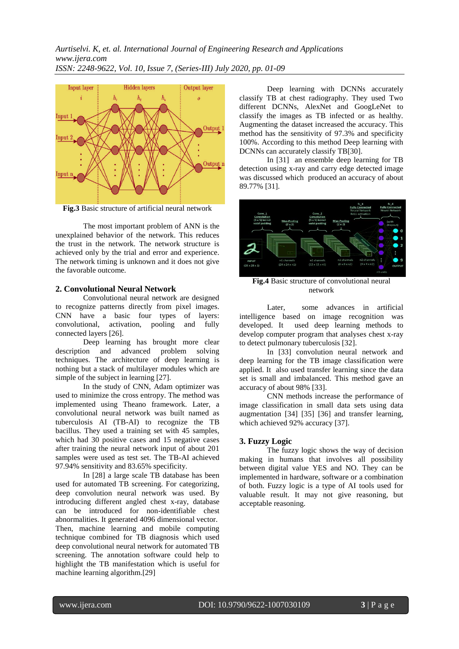

**Fig.3** Basic structure of artificial neural network

The most important problem of ANN is the unexplained behavior of the network. This reduces the trust in the network. The network structure is achieved only by the trial and error and experience. The network timing is unknown and it does not give the favorable outcome.

# **2. Convolutional Neural Network**

Convolutional neural network are designed to recognize patterns directly from pixel images. CNN have a basic four types of layers: convolutional, activation, pooling and fully connected layers [26].

Deep learning has brought more clear description and advanced problem solving techniques. The architecture of deep learning is nothing but a stack of multilayer modules which are simple of the subject in learning [27].

In the study of CNN, Adam optimizer was used to minimize the cross entropy. The method was implemented using Theano framework. Later, a convolutional neural network was built named as tuberculosis AI (TB-AI) to recognize the TB bacillus. They used a training set with 45 samples, which had 30 positive cases and 15 negative cases after training the neural network input of about 201 samples were used as test set. The TB-AI achieved 97.94% sensitivity and 83.65% specificity.

In [28] a large scale TB database has been used for automated TB screening. For categorizing, deep convolution neural network was used. By introducing different angled chest x-ray, database can be introduced for non-identifiable chest abnormalities. It generated 4096 dimensional vector. Then, machine learning and mobile computing technique combined for TB diagnosis which used deep convolutional neural network for automated TB screening. The annotation software could help to highlight the TB manifestation which is useful for machine learning algorithm.[29]

Deep learning with DCNNs accurately classify TB at chest radiography. They used Two different DCNNs, AlexNet and GoogLeNet to classify the images as TB infected or as healthy. Augmenting the dataset increased the accuracy. This method has the sensitivity of 97.3% and specificity 100%. According to this method Deep learning with DCNNs can accurately classify TB[30].

In [31] an ensemble deep learning for TB detection using x-ray and carry edge detected image was discussed which produced an accuracy of about 89.77% [31].



**Fig.4** Basic structure of convolutional neural network

Later, some advances in artificial intelligence based on image recognition was developed. It used deep learning methods to develop computer program that analyses chest x-ray to detect pulmonary tuberculosis [32].

In [33] convolution neural network and deep learning for the TB image classification were applied. It also used transfer learning since the data set is small and imbalanced. This method gave an accuracy of about 98% [33].

CNN methods increase the performance of image classification in small data sets using data augmentation [34] [35] [36] and transfer learning, which achieved 92% accuracy [37].

# **3. Fuzzy Logic**

The fuzzy logic shows the way of decision making in humans that involves all possibility between digital value YES and NO. They can be implemented in hardware, software or a combination of both. Fuzzy logic is a type of AI tools used for valuable result. It may not give reasoning, but acceptable reasoning.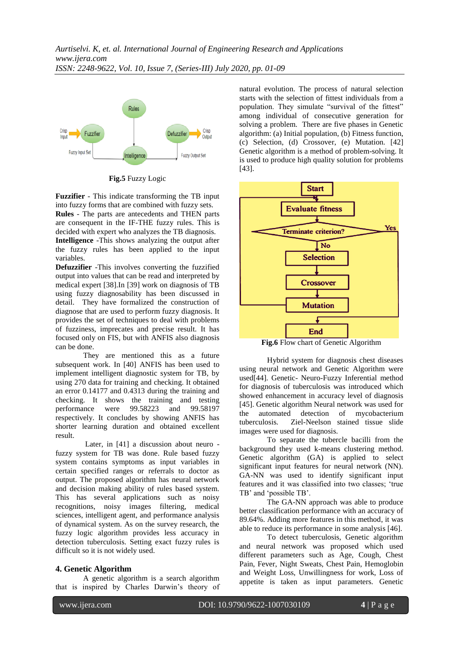

**Fig.5** Fuzzy Logic

**Fuzzifier** - This indicate transforming the TB input into fuzzy forms that are combined with fuzzy sets.

**Rules** - The parts are antecedents and THEN parts are consequent in the IF-THE fuzzy rules. This is decided with expert who analyzes the TB diagnosis. **Intelligence** -This shows analyzing the output after the fuzzy rules has been applied to the input variables.

**Defuzzifier** -This involves converting the fuzzified output into values that can be read and interpreted by medical expert [38].In [39] work on diagnosis of TB using fuzzy diagnosability has been discussed in detail. They have formalized the construction of diagnose that are used to perform fuzzy diagnosis. It provides the set of techniques to deal with problems of fuzziness, imprecates and precise result. It has focused only on FIS, but with ANFIS also diagnosis can be done.

They are mentioned this as a future subsequent work. In [40] ANFIS has been used to implement intelligent diagnostic system for TB, by using 270 data for training and checking. It obtained an error 0.14177 and 0.4313 during the training and checking. It shows the training and testing performance were 99.58223 and 99.58197 respectively. It concludes by showing ANFIS has shorter learning duration and obtained excellent result.

Later, in [41] a discussion about neuro fuzzy system for TB was done. Rule based fuzzy system contains symptoms as input variables in certain specified ranges or referrals to doctor as output. The proposed algorithm has neural network and decision making ability of rules based system. This has several applications such as noisy recognitions, noisy images filtering, medical sciences, intelligent agent, and performance analysis of dynamical system. As on the survey research, the fuzzy logic algorithm provides less accuracy in detection tuberculosis. Setting exact fuzzy rules is difficult so it is not widely used.

# **4. Genetic Algorithm**

A genetic algorithm is a search algorithm that is inspired by Charles Darwin"s theory of natural evolution. The process of natural selection starts with the selection of fittest individuals from a population. They simulate "survival of the fittest" among individual of consecutive generation for solving a problem. There are five phases in Genetic algorithm: (a) Initial population, (b) Fitness function, (c) Selection, (d) Crossover, (e) Mutation. [42] Genetic algorithm is a method of problem-solving. It is used to produce high quality solution for problems [43].



**Fig.6** Flow chart of Genetic Algorithm

Hybrid system for diagnosis chest diseases using neural network and Genetic Algorithm were used[44]. Genetic- Neuro-Fuzzy Inferential method for diagnosis of tuberculosis was introduced which showed enhancement in accuracy level of diagnosis [45]. Genetic algorithm Neural network was used for the automated detection of mycobacterium tuberculosis*.* Ziel-Neelson stained tissue slide images were used for diagnosis.

To separate the tubercle bacilli from the background they used k-means clustering method. Genetic algorithm (GA) is applied to select significant input features for neural network (NN). GA-NN was used to identify significant input features and it was classified into two classes; "true TB' and 'possible TB'.

The GA-NN approach was able to produce better classification performance with an accuracy of 89.64%. Adding more features in this method, it was able to reduce its performance in some analysis [46].

To detect tuberculosis, Genetic algorithm and neural network was proposed which used different parameters such as Age, Cough, Chest Pain, Fever, Night Sweats, Chest Pain, Hemoglobin and Weight Loss, Unwillingness for work, Loss of appetite is taken as input parameters. Genetic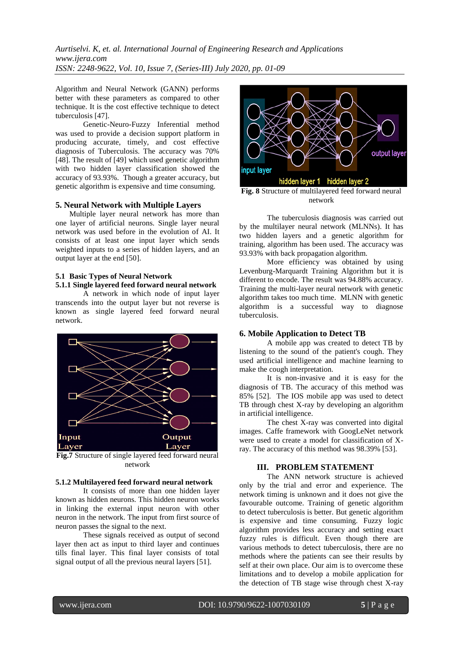*Aurtiselvi. K, et. al. International Journal of Engineering Research and Applications www.ijera.com ISSN: 2248-9622, Vol. 10, Issue 7, (Series-III) July 2020, pp. 01-09*

Algorithm and Neural Network (GANN) performs better with these parameters as compared to other technique. It is the cost effective technique to detect tuberculosis [47].

Genetic-Neuro-Fuzzy Inferential method was used to provide a decision support platform in producing accurate, timely, and cost effective diagnosis of Tuberculosis. The accuracy was 70% [48]. The result of [49] which used genetic algorithm with two hidden layer classification showed the accuracy of 93.93%. Though a greater accuracy, but genetic algorithm is expensive and time consuming.

#### **5. Neural Network with Multiple Layers**

Multiple layer neural network has more than one layer of artificial neurons. Single layer neural network was used before in the evolution of AI. It consists of at least one input layer which sends weighted inputs to a series of hidden layers, and an output layer at the end [50].

#### **5.1 Basic Types of Neural Network 5.1.1 Single layered feed forward neural network**

A network in which node of input layer transcends into the output layer but not reverse is known as single layered feed forward neural network.



Fig.7 Structure of single layered feed forward neural network

#### **5.1.2 Multilayered feed forward neural network**

It consists of more than one hidden layer known as hidden neurons. This hidden neuron works in linking the external input neuron with other neuron in the network. The input from first source of neuron passes the signal to the next.

These signals received as output of second layer then act as input to third layer and continues tills final layer. This final layer consists of total signal output of all the previous neural layers [51].



network

The tuberculosis diagnosis was carried out by the multilayer neural network (MLNNs). It has two hidden layers and a genetic algorithm for training, algorithm has been used. The accuracy was 93.93% with back propagation algorithm.

More efficiency was obtained by using Levenburg-Marquardt Training Algorithm but it is different to encode. The result was 94.88% accuracy. Training the multi-layer neural network with genetic algorithm takes too much time. MLNN with genetic algorithm is a successful way to diagnose tuberculosis.

## **6. Mobile Application to Detect TB**

A mobile app was created to detect TB by listening to the sound of the patient's cough. They used artificial intelligence and machine learning to make the cough interpretation.

It is non-invasive and it is easy for the diagnosis of TB. The accuracy of this method was 85% [52]. The IOS mobile app was used to detect TB through chest X-ray by developing an algorithm in artificial intelligence.

The chest X-ray was converted into digital images. Caffe framework with GoogLeNet network were used to create a model for classification of Xray. The accuracy of this method was 98.39% [53].

## **III. PROBLEM STATEMENT**

 The ANN network structure is achieved only by the trial and error and experience. The network timing is unknown and it does not give the favourable outcome. Training of genetic algorithm to detect tuberculosis is better. But genetic algorithm is expensive and time consuming. Fuzzy logic algorithm provides less accuracy and setting exact fuzzy rules is difficult. Even though there are various methods to detect tuberculosis, there are no methods where the patients can see their results by self at their own place. Our aim is to overcome these limitations and to develop a mobile application for the detection of TB stage wise through chest X-ray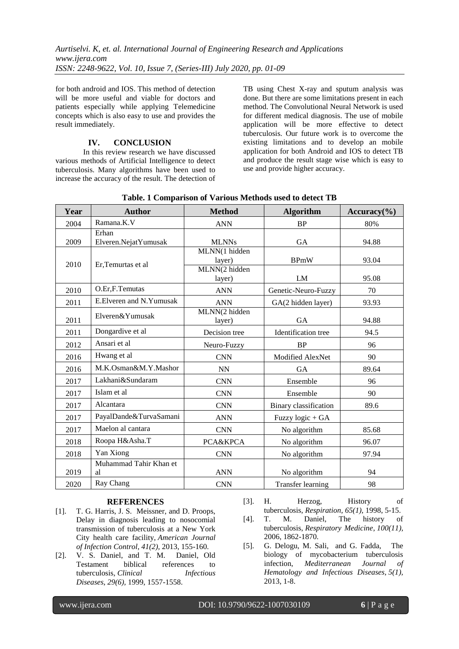for both android and IOS. This method of detection will be more useful and viable for doctors and patients especially while applying Telemedicine concepts which is also easy to use and provides the result immediately.

# **IV. CONCLUSION**

In this review research we have discussed various methods of Artificial Intelligence to detect tuberculosis. Many algorithms have been used to increase the accuracy of the result. The detection of TB using Chest X-ray and sputum analysis was done. But there are some limitations present in each method. The Convolutional Neural Network is used for different medical diagnosis. The use of mobile application will be more effective to detect tuberculosis. Our future work is to overcome the existing limitations and to develop an mobile application for both Android and IOS to detect TB and produce the result stage wise which is easy to use and provide higher accuracy.

| Year | <b>Author</b>                 | <b>Method</b>                            | <b>Algorithm</b>         | $Accuracy$ <sup>(%)</sup> |
|------|-------------------------------|------------------------------------------|--------------------------|---------------------------|
| 2004 | Ramana.K.V                    | <b>ANN</b>                               | <b>BP</b>                | 80%                       |
| 2009 | Erhan<br>Elveren.NejatYumusak | <b>MLNNs</b>                             | <b>GA</b>                | 94.88                     |
| 2010 | Er, Temurtas et al            | MLNN(1 hidden<br>layer)<br>MLNN(2 hidden | <b>BPmW</b>              | 93.04                     |
|      |                               | layer)                                   | LM                       | 95.08                     |
| 2010 | O.Er,F.Temutas                | <b>ANN</b>                               | Genetic-Neuro-Fuzzy      | 70                        |
| 2011 | E.Elveren and N.Yumusak       | <b>ANN</b>                               | GA(2 hidden layer)       | 93.93                     |
| 2011 | Elveren&Yumusak               | MLNN(2 hidden<br>layer)                  | <b>GA</b>                | 94.88                     |
| 2011 | Dongardive et al              | Decision tree                            | Identification tree      | 94.5                      |
| 2012 | Ansari et al                  | Neuro-Fuzzy                              | <b>BP</b>                | 96                        |
| 2016 | Hwang et al                   | <b>CNN</b>                               | Modified AlexNet         | 90                        |
| 2016 | M.K.Osman&M.Y.Mashor          | <b>NN</b>                                | <b>GA</b>                | 89.64                     |
| 2017 | Lakhani&Sundaram              | <b>CNN</b>                               | Ensemble                 | 96                        |
| 2017 | Islam et al                   | <b>CNN</b>                               | Ensemble                 | 90                        |
| 2017 | Alcantara                     | <b>CNN</b>                               | Binary classification    | 89.6                      |
| 2017 | PayalDande&TurvaSamani        | <b>ANN</b>                               | Fuzzy logic + GA         |                           |
| 2017 | Maelon al cantara             | <b>CNN</b>                               | No algorithm             | 85.68                     |
| 2018 | Roopa H&Asha.T                | PCA&KPCA                                 | No algorithm             | 96.07                     |
| 2018 | Yan Xiong                     | <b>CNN</b>                               | No algorithm             | 97.94                     |
| 2019 | Muhammad Tahir Khan et<br>al  | <b>ANN</b>                               | No algorithm             | 94                        |
| 2020 | Ray Chang                     | <b>CNN</b>                               | <b>Transfer learning</b> | 98                        |

# **Table. 1 Comparison of Various Methods used to detect TB**

# **REFERENCES**

- [1]. T. G. Harris, J. S. Meissner, and D. Proops, Delay in diagnosis leading to nosocomial transmission of tuberculosis at a New York City health care facility, *American Journal of Infection Control*, *41(2),* 2013, 155-160.
- [2]. V. S. Daniel, and T. M. Daniel, Old Testament biblical references to tuberculosis, *Clinical Infectious Diseases*, *29(6),* 1999, 1557-1558.
- [3]. H. Herzog, History of tuberculosis, *Respiration*, *65(1),* 1998, 5-15.
- [4]. T. M. Daniel, The history of tuberculosis, *Respiratory Medicine*, *100(11),* 2006, 1862-1870.
- [5]. G. Delogu, M. Sali, and G. Fadda, The biology of mycobacterium tuberculosis infection, *Mediterranean Journal of Hematology and Infectious Diseases*, *5(1),* 2013, 1-8.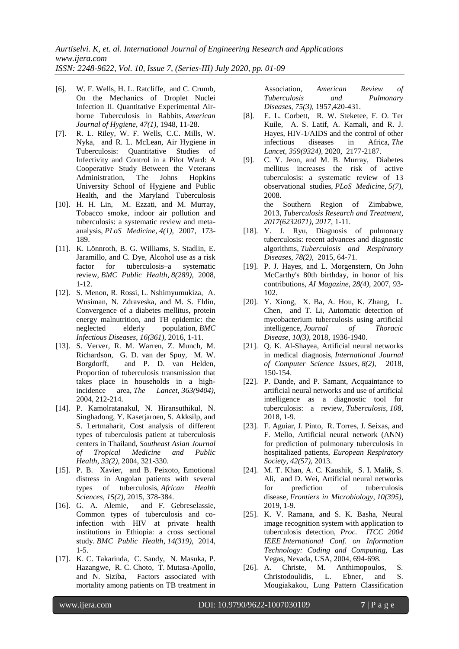- [6]. W. F. Wells, H. L. Ratcliffe, and C. Crumb, On the Mechanics of Droplet Nuclei Infection II. Quantitative Experimental Airborne Tuberculosis in Rabbits, *American Journal of Hygiene*, *47(1),* 1948, 11-28.
- [7]. R. L. Riley, W. F. Wells, C.C. Mills, W. Nyka, and R. L. McLean, Air Hygiene in Tuberculosis: Quantitative Studies of Infectivity and Control in a Pilot Ward: A Cooperative Study Between the Veterans Administration, The Johns Hopkins University School of Hygiene and Public Health, and the Maryland Tuberculosis
- [10]. H. H. Lin, M. Ezzati, and M. Murray, Tobacco smoke, indoor air pollution and tuberculosis: a systematic review and metaanalysis, *PLoS Medicine*, *4(1),* 2007, 173- 189.
- [11]. K. Lönnroth, B. G. Williams, S. Stadlin, E. Jaramillo, and C. Dye, Alcohol use as a risk factor for tuberculosis–a systematic review, *BMC Public Health*, *8(289),* 2008, 1-12.
- [12]. S. Menon, R. Rossi, L. Nshimyumukiza, A. Wusiman, N. Zdraveska, and M. S. Eldin, Convergence of a diabetes mellitus, protein energy malnutrition, and TB epidemic: the neglected elderly population, *BMC Infectious Diseases*, *16(361),* 2016, 1-11.
- [13]. S. Verver, R. M. Warren, Z. Munch, M. Richardson, G. D. van der Spuy, M. W. Borgdorff, and P. D. van Helden, Proportion of tuberculosis transmission that takes place in households in a highincidence area, *The Lancet*, *363(9404),* 2004, 212-214.
- [14]. P. Kamolratanakul, N. Hiransuthikul, N. Singhadong, Y. Kasetjaroen, S. Akksilp, and S. Lertmaharit, Cost analysis of different types of tuberculosis patient at tuberculosis centers in Thailand, *Southeast Asian Journal of Tropical Medicine and Public Health*, *33(2),* 2004, 321-330.
- [15]. P. B. Xavier, and B. Peixoto, Emotional distress in Angolan patients with several types of tuberculosis, *African Health Sciences*, *15(2),* 2015, 378-384.
- [16]. G. A. Alemie, and F. Gebreselassie, Common types of tuberculosis and coinfection with HIV at private health institutions in Ethiopia: a cross sectional study. *BMC Public Health*, *14(319),* 2014, 1-5.
- [17]. K. C. Takarinda, C. Sandy, N. Masuka, P. Hazangwe, R. C. Choto, T. Mutasa-Apollo, and N. Siziba, Factors associated with mortality among patients on TB treatment in

Association, *American Review of*   $Tuberculosis$  and *Diseases*, *75(3),* 1957,420-431.

- [8]. E. L. Corbett, R. W. Steketee, F. O. Ter Kuile, A. S. Latif, A. Kamali, and R. J. Hayes, HIV-1/AIDS and the control of other infectious diseases in Africa, *The Lancet*, *359(9324),* 2020, 2177-2187.
- [9]. C. Y. Jeon, and M. B. Murray, Diabetes mellitus increases the risk of active tuberculosis: a systematic review of 13 observational studies, *PLoS Medicine*, *5(7),* 2008. the Southern Region of Zimbabwe,

2013, *Tuberculosis Research and Treatment*, *2017(6232071), 2017*, 1-11.

- [18]. Y. J. Ryu, Diagnosis of pulmonary tuberculosis: recent advances and diagnostic algorithms, *Tuberculosis and Respiratory Diseases*, *78(2),* 2015, 64-71.
- [19]. P. J. Hayes, and L. Morgenstern, On John McCarthy's 80th birthday, in honor of his contributions, *AI Magazine*, *28(4),* 2007, 93- 102.
- [20]. Y. Xiong, X. Ba, A. Hou, K. Zhang, L. Chen, and T. Li, Automatic detection of mycobacterium tuberculosis using artificial intelligence, *Journal of Thoracic Disease*, *10(3),* 2018, 1936-1940.
- [21]. O. K. Al-Shayea, Artificial neural networks in medical diagnosis, *International Journal of Computer Science Issues*, *8(2),* 2018, 150-154.
- [22]. P. Dande, and P. Samant, Acquaintance to artificial neural networks and use of artificial intelligence as a diagnostic tool for tuberculosis: a review, *Tuberculosis*, *108*, 2018, 1-9.
- [23]. F. Aguiar, J. Pinto, R. Torres, J. Seixas, and F. Mello, Artificial neural network (ANN) for prediction of pulmonary tuberculosis in hospitalized patients, *European Respiratory Society, 42(57),* 2013.
- [24]. M. T. Khan, A. C. Kaushik, S. I. Malik, S. Ali, and D. Wei, Artificial neural networks for prediction of tuberculosis disease, *Frontiers in Microbiology*, *10(395),* 2019, 1-9.
- [25]. K. V. Ramana, and S. K. Basha, Neural image recognition system with application to tuberculosis detection, *Proc. ITCC 2004 IEEE International Conf. on Information Technology: Coding and Computing,* Las Vegas, Nevada, USA, 2004, 694-698.
- [26]. A. Christe, M. Anthimopoulos, S. Christodoulidis, L. Ebner, and S. Mougiakakou, Lung Pattern Classification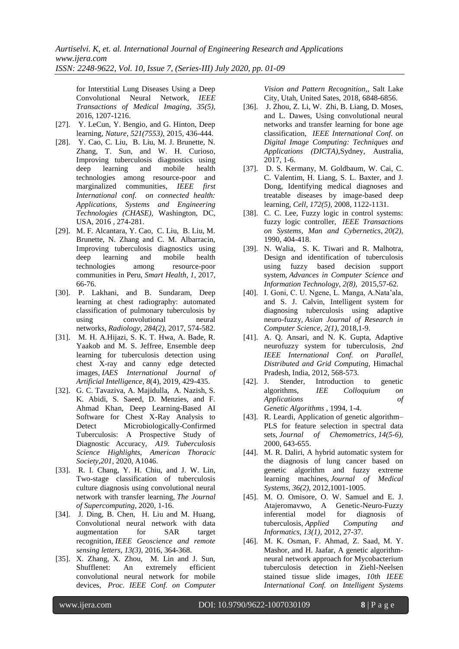for Interstitial Lung Diseases Using a Deep Convolutional Neural Network, *IEEE Transactions of Medical Imaging, 35(5),* 2016, 1207-1216.

- [27]. Y. LeCun, Y. Bengio, and G. Hinton, Deep learning, *Nature, 521(7553),* 2015, 436-444.
- [28]. Y. Cao, C. Liu, B. Liu, M. J. Brunette, N. Zhang, T. Sun, and W. H. Curioso, Improving tuberculosis diagnostics using deep learning and mobile health technologies among resource-poor and marginalized communities, *IEEE first International conf. on connected health: Applications, Systems and Engineering Technologies (CHASE),* Washington, DC, USA, 2016 , 274-281.
- [29]. M. F. Alcantara, Y. Cao, C. Liu, B. Liu, M. Brunette, N. Zhang and C. M. Albarracin, Improving tuberculosis diagnostics using deep learning and mobile health technologies among resource-poor communities in Peru, *Smart Health*, *1*, 2017, 66-76.
- [30]. P. Lakhani, and B. Sundaram, Deep learning at chest radiography: automated classification of pulmonary tuberculosis by using convolutional neural networks, *Radiology*, *284(2),* 2017, 574-582.
- [31]. M. H. A.Hijazi, S. K. T. Hwa, A. Bade, R. Yaakob and M. S. Jeffree, Ensemble deep learning for tuberculosis detection using chest X-ray and canny edge detected images, *IAES International Journal of Artificial Intelligence*, *8*(4), 2019, 429-435.
- [32]. G. C. Tavaziva, A. Majidulla, A. Nazish, S. K. Abidi, S. Saeed, D. Menzies, and F. Ahmad Khan, Deep Learning-Based AI Software for Chest X-Ray Analysis to Detect Microbiologically-Confirmed Tuberculosis: A Prospective Study of Diagnostic Accuracy, *A19. Tuberculosis Science Highlights, American Thoracic Society,201,* 2020, A1046.
- [33]. R. I. Chang, Y. H. Chiu, and J. W. Lin, Two-stage classification of tuberculosis culture diagnosis using convolutional neural network with transfer learning, *The Journal of Supercomputing*, 2020, 1-16.
- [34]. J. Ding, B. Chen, H. Liu and M. Huang, Convolutional neural network with data augmentation for SAR target recognition, *IEEE Geoscience and remote sensing letters*, *13(3),* 2016, 364-368.
- [35]. X. Zhang, X. Zhou, M. Lin and J. Sun, Shufflenet: An extremely efficient convolutional neural network for mobile devices, *Proc. IEEE Conf. on Computer*

*Vision and Pattern Recognition,,* Salt Lake City, Utah, United Sates, 2018, 6848-6856.

- [36]. J. Zhou, Z. Li, W. Zhi, B. Liang, D. Moses, and L. Dawes, Using convolutional neural networks and transfer learning for bone age classification, *IEEE International Conf. on Digital Image Computing: Techniques and Applications (DICTA),*Sydney, Australia, 2017, 1-6.
- [37]. D. S. Kermany, M. Goldbaum, W. Cai, C. C. Valentim, H. Liang, S. L. Baxter, and J. Dong, Identifying medical diagnoses and treatable diseases by image-based deep learning, *Cell*, *172(5),* 2008, 1122-1131.
- [38]. C. C. Lee, Fuzzy logic in control systems: fuzzy logic controller, *IEEE Transactions on Systems, Man and Cybernetics*, *20(2),* 1990, 404-418.
- [39]. N. Walia, S. K. Tiwari and R. Malhotra, Design and identification of tuberculosis using fuzzy based decision support system, *Advances in Computer Science and Information Technology*, *2(8),* 2015,57-62.
- [40]. I. Goni, C. U. Ngene, L. Manga, A.Nata"ala, and S. J. Calvin, Intelligent system for diagnosing tuberculosis using adaptive neuro-fuzzy, *Asian Journal of Research in Computer Science*, *2(1),* 2018,1-9.
- [41]. A. Q. Ansari, and N. K. Gupta, Adaptive neurofuzzy system for tuberculosis, *2nd IEEE International Conf. on Parallel, Distributed and Grid Computing,* Himachal Pradesh, India, 2012, 568-573.
- [42]. J. Stender, Introduction to genetic algorithms, *IEE Colloquium on Applications of Genetic Algorithms* , 1994, 1-4.
- [43]. R. Leardi, Application of genetic algorithm– PLS for feature selection in spectral data sets, *Journal of Chemometrics*, *14(5-6),* 2000, 643-655.
- [44]. M. R. Daliri, A hybrid automatic system for the diagnosis of lung cancer based on genetic algorithm and fuzzy extreme learning machines, *Journal of Medical Systems*, *36(2),* 2012,1001-1005.
- [45]. M. O. Omisore, O. W. Samuel and E. J. Atajeromavwo, A Genetic-Neuro-Fuzzy inferential model for diagnosis of tuberculosis, *Applied Computing and Informatics*, *13(1),* 2012, 27-37.
- [46]. M. K. Osman, F. Ahmad, Z. Saad, M. Y. Mashor, and H. Jaafar, A genetic algorithmneural network approach for Mycobacterium tuberculosis detection in Ziehl-Neelsen stained tissue slide images, *10th IEEE International Conf. on Intelligent Systems*